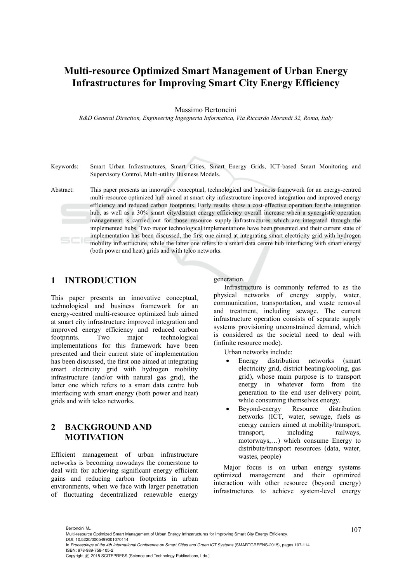# **Multi-resource Optimized Smart Management of Urban Energy Infrastructures for Improving Smart City Energy Efficiency**

#### Massimo Bertoncini

*R&D General Direction, Engineering Ingegneria Informatica, Via Riccardo Morandi 32, Roma, Italy* 

- Keywords: Smart Urban Infrastructures, Smart Cities, Smart Energy Grids, ICT-based Smart Monitoring and Supervisory Control, Multi-utility Business Models.
- Abstract: This paper presents an innovative conceptual, technological and business framework for an energy-centred multi-resource optimized hub aimed at smart city infrastructure improved integration and improved energy efficiency and reduced carbon footprints. Early results show a cost-effective operation for the integration hub, as well as a 30% smart city/district energy efficiency overall increase when a synergistic operation management is carried out for those resource supply infrastructures which are integrated through the implemented hubs. Two major technological implementations have been presented and their current state of implementation has been discussed, the first one aimed at integrating smart electricity grid with hydrogen mobility infrastructure, while the latter one refers to a smart data centre hub interfacing with smart energy (both power and heat) grids and with telco networks.

### **1 INTRODUCTION**

This paper presents an innovative conceptual, technological and business framework for an energy-centred multi-resource optimized hub aimed at smart city infrastructure improved integration and improved energy efficiency and reduced carbon footprints. Two major technological implementations for this framework have been presented and their current state of implementation has been discussed, the first one aimed at integrating smart electricity grid with hydrogen mobility infrastructure (and/or with natural gas grid), the latter one which refers to a smart data centre hub interfacing with smart energy (both power and heat) grids and with telco networks.

# **2 BACKGROUND AND MOTIVATION**

Efficient management of urban infrastructure networks is becoming nowadays the cornerstone to deal with for achieving significant energy efficient gains and reducing carbon footprints in urban environments, when we face with larger penetration of fluctuating decentralized renewable energy generation.

Infrastructure is commonly referred to as the physical networks of energy supply, water, communication, transportation, and waste removal and treatment, including sewage. The current infrastructure operation consists of separate supply systems provisioning unconstrained demand, which is considered as the societal need to deal with (infinite resource mode).

Urban networks include:

- Energy distribution networks (smart electricity grid, district heating/cooling, gas grid), whose main purpose is to transport energy in whatever form from the generation to the end user delivery point, while consuming themselves energy.
- Beyond-energy Resource distribution networks (ICT, water, sewage, fuels as energy carriers aimed at mobility/transport, transport, including railways, motorways,…) which consume Energy to distribute/transport resources (data, water, wastes, people)

Major focus is on urban energy systems optimized management and their optimized interaction with other resource (beyond energy) infrastructures to achieve system-level energy

<sup>107</sup> Bertoncini M.. Multi-resource Optimized Smart Management of Urban Energy Infrastructures for Improving Smart City Energy Efficiency. DOI: 10.5220/0005499001070114

In *Proceedings of the 4th International Conference on Smart Cities and Green ICT Systems* (SMARTGREENS-2015), pages 107-114 ISBN: 978-989-758-105-2

Copyright © 2015 SCITEPRESS (Science and Technology Publications, Lda.)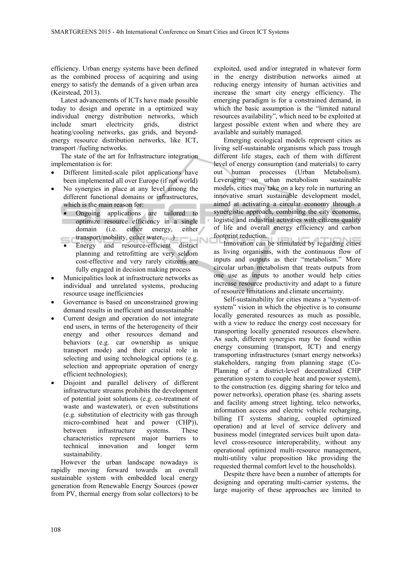efficiency. Urban energy systems have been defined as the combined process of acquiring and using energy to satisfy the demands of a given urban area (Keirstead, 2013).

Latest advancements of ICTs have made possible today to design and operate in a optimized way individual energy distribution networks, which include smart electricity grids, district heating/cooling networks, gas grids, and beyondenergy resource distribution networks, like ICT, transport /fueling networks.

The state of the art for Infrastructure integration implementation is for:

- Different limited-scale pilot applications have been implemented all over Europe (if not world)
- No synergies in place at any level among the different functional domains or infrastructures, which is the main reason for:
	- Ongoing applications are tailored to optimize resource efficiency in a single domain (i.e. either energy, either  $transport/mobility, either water, ...)$
	- transport/mobility, either water, ...)<br>Energy and resource-efficient district planning and retrofitting are very seldom cost-effective and very rarely citizens are fully engaged in decision making process
- Municipalities look at infrastructure networks as individual and unrelated systems, producing resource usage inefficiencies
- Governance is based on unconstrained growing demand results in inefficient and unsustainable
- Current design and operation do not integrate end users, in terms of the heterogeneity of their energy and other resources demand and behaviors (e.g. car ownership as unique transport mode) and their crucial role in selecting and using technological options (e.g. selection and appropriate operation of energy efficient technologies);
- Disjoint and parallel delivery of different infrastructure streams prohibits the development of potential joint solutions (e.g. co-treatment of waste and wastewater), or even substitutions (e.g. substitution of electricity with gas through micro-combined heat and power (CHP)), between infrastructure systems. These characteristics represent major barriers to technical innovation and longer term sustainability.

However the urban landscape nowadays is rapidly moving forward towards an overall sustainable system with embedded local energy generation from Renewable Energy Sources (power from PV, thermal energy from solar collectors) to be exploited, used and/or integrated in whatever form in the energy distribution networks aimed at reducing energy intensity of human activities and increase the smart city energy efficiency. The emerging paradigm is for a constrained demand, in which the basic assumption is the "limited natural resources availability", which need to be exploited at largest possible extent when and where they are available and suitably managed.

Emerging ecological models represent cities as living self-sustainable organisms which pass trough different life stages, each of them with different level of energy consumption (and materials) to carry out human processes (Urban Metabolism). Leveraging on urban metabolism sustainable models, cities may take on a key role in nurturing an innovative smart sustainable development model, aimed at activating a circular economy through a synergistic approach, combining the city economic, logistic and industrial activities with citizens quality of life and overall energy efficiency and carbon footprint reduction.

Innovation can be stimulated by regarding cities as living organisms, with the continuous flow of inputs and outputs as their "metabolism." More circular urban metabolism that treats outputs from one use as inputs to another would help cities increase resource productivity and adapt to a future of resource limitations and climate uncertainty.

Self-sustainability for cities means a "system-ofsystem" vision in which the objective is to consume locally generated resources as much as possible, with a view to reduce the energy cost necessary for transporting locally generated resources elsewhere. As such, different synergies may be found within energy consuming (transport, ICT) and energy transporting infrastructures (smart energy networks) stakeholders, ranging from planning stage (Co-Planning of a district-level decentralized CHP generation system to couple heat and power system), to the construction (es. digging sharing for telco and power networks), operation phase (es. sharing assets and facility among street lighting, telco networks, information access and electric vehicle recharging, billing IT systems sharing, coupled optimized operation) and at level of service delivery and business model (integrated services built upon datalevel cross-resource interoperability, without any operational optimized multi-resource management, multi-utility value proposition like providing the requested thermal comfort level to the households).

Despite there have been a number of attempts for designing and operating multi-carrier systems, the large majority of these approaches are limited to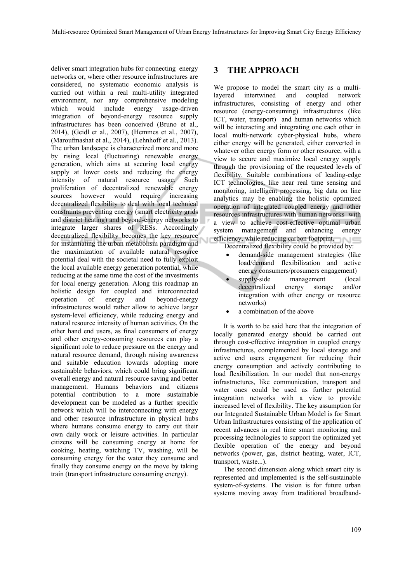deliver smart integration hubs for connecting energy networks or, where other resource infrastructures are considered, no systematic economic analysis is carried out within a real multi-utility integrated environment, nor any comprehensive modeling which would include energy usage-driven integration of beyond-energy resource supply infrastructures has been conceived (Bruno et al., 2014), (Geidl et al., 2007), (Hemmes et al., 2007), (Maroufmashat et al., 2014), (Lehnhoff et al., 2013). The urban landscape is characterized more and more by rising local (fluctuating) renewable energy generation, which aims at securing local energy supply at lower costs and reducing the energy intensity of natural resource usage. Such proliferation of decentralized renewable energy sources however would require increasing decentralized flexibility to deal with local technical constraints preventing energy (smart electricity grids and district heating) and beyond-energy networks to integrate larger shares of RESs. Accordingly decentralized flexibility becomes the key resource for instantiating the urban metabolism paradigm and the maximization of available natural resource potential deal with the societal need to fully exploit the local available energy generation potential, while reducing at the same time the cost of the investments for local energy generation. Along this roadmap an holistic design for coupled and interconnected operation of energy and beyond-energy infrastructures would rather allow to achieve larger system-level efficiency, while reducing energy and natural resource intensity of human activities. On the other hand end users, as final consumers of energy and other energy-consuming resources can play a significant role to reduce pressure on the energy and natural resource demand, through raising awareness and suitable education towards adopting more sustainable behaviors, which could bring significant overall energy and natural resource saving and better management. Humans behaviors and citizens potential contribution to a more sustainable development can be modeled as a further specific network which will be interconnecting with energy and other resource infrastructure in physical hubs where humans consume energy to carry out their own daily work or leisure activities. In particular citizens will be consuming energy at home for cooking, heating, watching TV, washing, will be consuming energy for the water they consume and finally they consume energy on the move by taking train (transport infrastructure consuming energy).

# **3 THE APPROACH**

We propose to model the smart city as a multilayered intertwined and coupled network infrastructures, consisting of energy and other resource (energy-consuming) infrastructures (like ICT, water, transport) and human networks which will be interacting and integrating one each other in local multi-network cyber-physical hubs, where either energy will be generated, either converted in whatever other energy form or other resource, with a view to secure and maximize local energy supply through the provisioning of the requested levels of flexibility. Suitable combinations of leading-edge ICT technologies, like near real time sensing and monitoring, intelligent processing, big data on line analytics may be enabling the holistic optimized operation of integrated coupled energy and other resources infrastructures with human networks with a view to achieve cost-effective optimal urban system management and enhancing energy efficiency, while reducing carbon footprint. Decentralized flexibility could be provided by:

- demand-side management strategies (like load/demand flexibilization and active energy consumers/prosumers engagement)
- supply-side management (local decentralized energy storage and/or integration with other energy or resource networks)
- a combination of the above

It is worth to be said here that the integration of locally generated energy should be carried out through cost-effective integration in coupled energy infrastructures, complemented by local storage and active end users engagement for reducing their energy consumption and actively contributing to load flexibilization. In our model that non-energy infrastructures, like communication, transport and water ones could be used as further potential integration networks with a view to provide increased level of flexibility. The key assumption for our Integrated Sustainable Urban Model is for Smart Urban Infrastructures consisting of the application of recent advances in real time smart monitoring and processing technologies to support the optimized yet flexible operation of the energy and beyond networks (power, gas, district heating, water, ICT, transport, waste...).

The second dimension along which smart city is represented and implemented is the self-sustainable system-of-systems. The vision is for future urban systems moving away from traditional broadband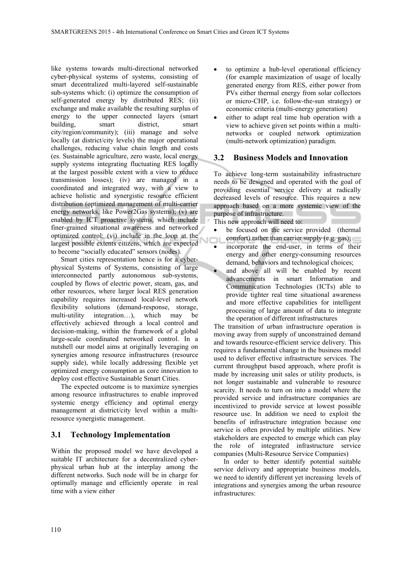like systems towards multi-directional networked cyber-physical systems of systems, consisting of smart decentralized multi-layered self-sustainable sub-systems which: (i) optimize the consumption of self-generated energy by distributed RES; (ii) exchange and make available the resulting surplus of energy to the upper connected layers (smart building, smart district, smart city/region/community); (iii) manage and solve locally (at district/city levels) the major operational challenges, reducing value chain length and costs (es. Sustainable agriculture, zero waste, local energy supply systems integrating fluctuating RES locally at the largest possible extent with a view to reduce transmission losses); (iv) are managed in a coordinated and integrated way, with a view to achieve holistic and synergistic resource efficient distribution (optimized management of multi-carrier energy networks, like Power2Gas systems); (v) are enabled by ICT proactive systems, which include finer-grained situational awareness and networked optimized control; (vi) include in the loop at the largest possible extents citizens, which are expected to become "socially educated" sensors (nodes).

Smart cities representation hence is for a cyberphysical Systems of Systems, consisting of large interconnected partly autonomous sub-systems, coupled by flows of electric power, steam, gas, and other resources, where larger local RES generation capability requires increased local-level network flexibility solutions (demand-response, storage, multi-utility integration…), which may be effectively achieved through a local control and decision-making, within the framework of a global large-scale coordinated networked control. In a nutshell our model aims at originally leveraging on synergies among resource infrastructures (resource supply side), while locally addressing flexible yet optimized energy consumption as core innovation to deploy cost effective Sustainable Smart Cities.

The expected outcome is to maximize synergies among resource infrastructures to enable improved systemic energy efficiency and optimal energy management at district/city level within a multiresource synergistic management.

### **3.1 Technology Implementation**

Within the proposed model we have developed a suitable IT architecture for a decentralized cyberphysical urban hub at the interplay among the different networks. Such node will be in charge for optimally manage and efficiently operate in real time with a view either

- to optimize a hub-level operational efficiency (for example maximization of usage of locally generated energy from RES, either power from PVs either thermal energy from solar collectors or micro-CHP, i.e. follow-the-sun strategy) or economic criteria (multi-energy generation)
- either to adapt real time hub operation with a view to achieve given set points within a multinetworks or coupled network optimization (multi-network optimization) paradigm.

#### **3.2 Business Models and Innovation**

To achieve long-term sustainability infrastructure needs to be designed and operated with the goal of providing essential service delivery at radically decreased levels of resource. This requires a new approach based on a more systemic view of the purpose of infrastructure.

This new approach will need to:

мc

- be focused on the service provided (thermal comfort) rather than carrier supply (e.g. gas);
- incorporate the end-user, in terms of their energy and other energy-consuming resources demand, behaviors and technological choices;
	- and above all will be enabled by recent advancements in smart Information and Communication Technologies (ICTs) able to provide tighter real time situational awareness and more effective capabilities for intelligent processing of large amount of data to integrate the operation of different infrastructures

The transition of urban infrastructure operation is moving away from supply of unconstrained demand and towards resource-efficient service delivery. This requires a fundamental change in the business model used to deliver effective infrastructure services. The current throughput based approach, where profit is made by increasing unit sales or utility products, is not longer sustainable and vulnerable to resource scarcity. It needs to turn on into a model where the provided service and infrastructure companies are incentivized to provide service at lowest possible resource use. In addition we need to exploit the benefits of infrastructure integration because one service is often provided by multiple utilities. New stakeholders are expected to emerge which can play the role of integrated infrastructure service companies (Multi-Resource Service Companies)

In order to better identify potential suitable service delivery and appropriate business models, we need to identify different yet increasing levels of integrations and synergies among the urban resource infrastructures: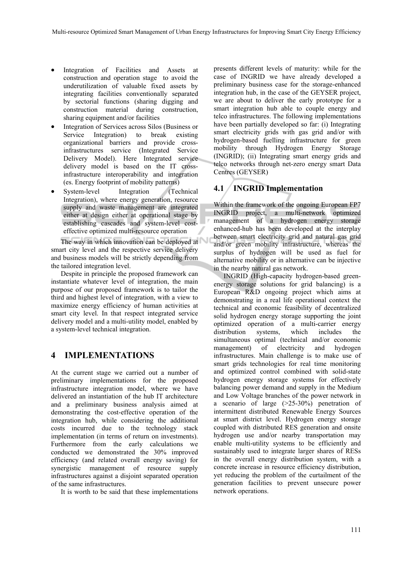- Integration of Facilities and Assets at construction and operation stage to avoid the underutilization of valuable fixed assets by integrating facilities conventionally separated by sectorial functions (sharing digging and construction material during construction, sharing equipment and/or facilities
- Integration of Services across Silos (Business or Service Integration) to break existing organizational barriers and provide crossinfrastructures service (Integrated Service Delivery Model). Here Integrated service delivery model is based on the IT crossinfrastructure interoperability and integration (es. Energy footprint of mobility patterns)
- System-level Integration (Technical Integration), where energy generation, resource supply and waste management are integrated either at design either at operational stage by establishing cascades and system-level costeffective optimized multi-resource operation

The way in which innovation can be deployed at smart city level and the respective service delivery and business models will be strictly depending from the tailored integration level.

Despite in principle the proposed framework can instantiate whatever level of integration, the main purpose of our proposed framework is to tailor the third and highest level of integration, with a view to maximize energy efficiency of human activities at smart city level. In that respect integrated service delivery model and a multi-utility model, enabled by a system-level technical integration.

# **4 IMPLEMENTATIONS**

At the current stage we carried out a number of preliminary implementations for the proposed infrastructure integration model, where we have delivered an instantiation of the hub IT architecture and a preliminary business analysis aimed at demonstrating the cost-effective operation of the integration hub, while considering the additional costs incurred due to the technology stack implementation (in terms of return on investments). Furthermore from the early calculations we conducted we demonstrated the 30% improved efficiency (and related overall energy saving) for synergistic management of resource supply infrastructures against a disjoint separated operation of the same infrastructures.

It is worth to be said that these implementations

presents different levels of maturity: while for the case of INGRID we have already developed a preliminary business case for the storage-enhanced integration hub, in the case of the GEYSER project, we are about to deliver the early prototype for a smart integration hub able to couple energy and telco infrastructures. The following implementations have been partially developed so far: (i) Integrating smart electricity grids with gas grid and/or with hydrogen-based fuelling infrastructure for green mobility through Hydrogen Energy Storage (INGRID); (ii) Integrating smart energy grids and telco networks through net-zero energy smart Data Centres (GEYSER)

# **4.1 INGRID Implementation**

Within the framework of the ongoing European FP7 INGRID project, a multi-network optimized management of a hydrogen energy storage enhanced-hub has been developed at the interplay between smart electricity grid and natural gas grid and/or green mobility infrastructure, whereas the surplus of hydrogen will be used as fuel for alternative mobility or in alternative can be injective in the nearby natural gas network.

INGRID (High-capacity hydrogen-based greenenergy storage solutions for grid balancing) is a European R&D ongoing project which aims at demonstrating in a real life operational context the technical and economic feasibility of decentralized solid hydrogen energy storage supporting the joint optimized operation of a multi-carrier energy distribution systems, which includes the simultaneous optimal (technical and/or economic management) of electricity and hydrogen infrastructures. Main challenge is to make use of smart grids technologies for real time monitoring and optimized control combined with solid-state hydrogen energy storage systems for effectively balancing power demand and supply in the Medium and Low Voltage branches of the power network in a scenario of large (>25-30%) penetration of intermittent distributed Renewable Energy Sources at smart district level. Hydrogen energy storage coupled with distributed RES generation and onsite hydrogen use and/or nearby transportation may enable multi-utility systems to be efficiently and sustainably used to integrate larger shares of RESs in the overall energy distribution system, with a concrete increase in resource efficiency distribution, yet reducing the problem of the curtailment of the generation facilities to prevent unsecure power network operations.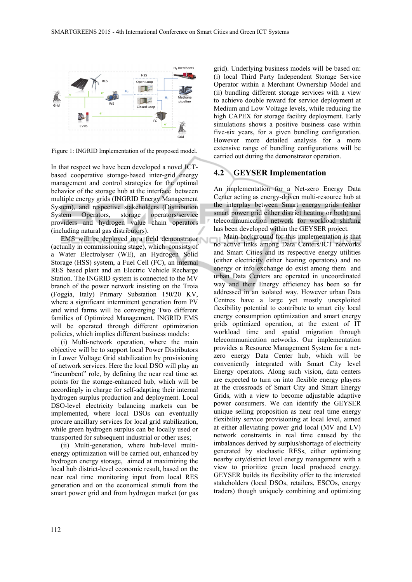

Figure 1: INGRID Implementation of the proposed model.

In that respect we have been developed a novel ICTbased cooperative storage-based inter-grid energy management and control strategies for the optimal behavior of the storage hub at the interface between multiple energy grids (INGRID Energy Management System), and respective stakeholders (Distribution System Operators, storage operators/service providers and hydrogen value chain operators (including natural gas distributors).

EMS will be deployed in a field demonstrator (actually in commissioning stage), which consists of a Water Electrolyser (WE), an Hydrogen Solid Storage (HSS) system, a Fuel Cell (FC), an internal RES based plant and an Electric Vehicle Recharge Station. The INGRID system is connected to the MV branch of the power network insisting on the Troia (Foggia, Italy) Primary Substation 150/20 KV, where a significant intermittent generation from PV and wind farms will be converging Two different families of Optimized Management. INGRID EMS will be operated through different optimization policies, which implies different business models:

(i) Multi-network operation, where the main objective will be to support local Power Distributors in Lower Voltage Grid stabilization by provisioning of network services. Here the local DSO will play an "incumbent" role, by defining the near real time set points for the storage-enhanced hub, which will be accordingly in charge for self-adapting their internal hydrogen surplus production and deployment. Local DSO-level electricity balancing markets can be implemented, where local DSOs can eventually procure ancillary services for local grid stabilization, while green hydrogen surplus can be locally used or transported for subsequent industrial or other uses;

(ii) Multi-generation, where hub-level multienergy optimization will be carried out, enhanced by hydrogen energy storage, aimed at maximizing the local hub district-level economic result, based on the near real time monitoring input from local RES generation and on the economical stimuli from the smart power grid and from hydrogen market (or gas

grid). Underlying business models will be based on: (i) local Third Party Independent Storage Service Operator within a Merchant Ownership Model and (ii) bundling different storage services with a view to achieve double reward for service deployment at Medium and Low Voltage levels, while reducing the high CAPEX for storage facility deployment. Early simulations shows a positive business case within five-six years, for a given bundling configuration. However more detailed analysis for a more extensive range of bundling configurations will be carried out during the demonstrator operation.

#### **4.2 GEYSER Implementation**

An implementation for a Net-zero Energy Data Center acting as energy-driven multi-resource hub at the interplay between Smart energy grids (either smart power grid either district heating or both) and telecommunication network for workload shifting has been developed within the GEYSER project.

Main background for this implementation is that no active links among Data Centers/ICT networks and Smart Cities and its respective energy utilities (either electricity either heating operators) and no energy or info exchange do exist among them and urban Data Centers are operated in uncoordinated way and their Energy efficiency has been so far addressed in an isolated way. However urban Data Centres have a large yet mostly unexploited flexibility potential to contribute to smart city local energy consumption optimization and smart energy grids optimized operation, at the extent of IT workload time and spatial migration through telecommunication networks. Our implementation provides a Resource Management System for a netzero energy Data Center hub, which will be conveniently integrated with Smart City level Energy operators. Along such vision, data centers are expected to turn on into flexible energy players at the crossroads of Smart City and Smart Energy Grids, with a view to become adjustable adaptive power consumers. We can identify the GEYSER unique selling proposition as near real time energy flexibility service provisioning at local level, aimed at either alleviating power grid local (MV and LV) network constraints in real time caused by the imbalances derived by surplus/shortage of electricity generated by stochastic RESs, either optimizing nearby city/district level energy management with a view to prioritize green local produced energy. GEYSER builds its flexibility offer to the interested stakeholders (local DSOs, retailers, ESCOs, energy traders) though uniquely combining and optimizing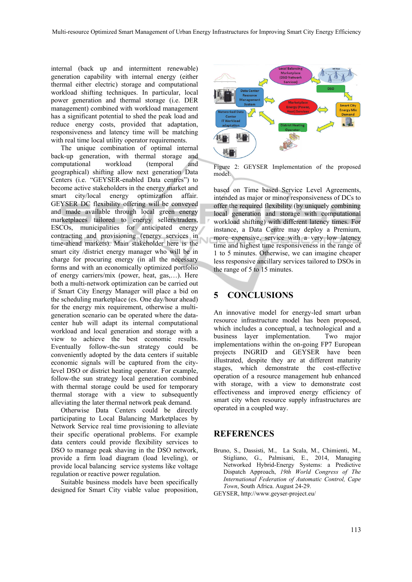internal (back up and intermittent renewable) generation capability with internal energy (either thermal either electric) storage and computational workload shifting techniques. In particular, local power generation and thermal storage (i.e. DER management) combined with workload management has a significant potential to shed the peak load and reduce energy costs, provided that adaptation, responsiveness and latency time will be matching with real time local utility operator requirements.

The unique combination of optimal internal back-up generation, with thermal storage and computational workload (temporal and geographical) shifting allow next generation Data Centers (i.e. "GEYSER-enabled Data centres") to become active stakeholders in the energy market and smart city/local energy optimization affair. GEYSER DC flexibility offering will be conveyed and made available through local green energy marketplaces tailored to energy sellers/traders, ESCOs, municipalities for anticipated energy contracting and provisioning (energy services in time-ahead markets). Main stakeholder here is the smart city /district energy manager who will be in charge for procuring energy (in all the necessary forms and with an economically optimized portfolio of energy carriers/mix (power, heat, gas,…). Here both a multi-network optimization can be carried out if Smart City Energy Manager will place a bid on the scheduling marketplace (es. One day/hour ahead) for the energy mix requirement, otherwise a multigeneration scenario can be operated where the datacenter hub will adapt its internal computational workload and local generation and storage with a view to achieve the best economic results. Eventually follow-the-sun strategy could be conveniently adopted by the data centers if suitable economic signals will be captured from the citylevel DSO or district heating operator. For example, follow-the sun strategy local generation combined with thermal storage could be used for temporary thermal storage with a view to subsequently alleviating the later thermal network peak demand.

Otherwise Data Centers could be directly participating to Local Balancing Marketplaces by Network Service real time provisioning to alleviate their specific operational problems. For example data centers could provide flexibility services to DSO to manage peak shaving in the DSO network, provide a firm load diagram (load leveling), or provide local balancing service systems like voltage regulation or reactive power regulation.

Suitable business models have been specifically designed for Smart City viable value proposition,



Figure 2: GEYSER Implementation of the proposed model.

based on Time based Service Level Agreements, intended as major or minor responsiveness of DCs to offer the required flexibility (by uniquely combining local generation and storage with computational workload shifting) with different latency times. For instance, a Data Centre may deploy a Premium, more expensive, service with a very low latency time and highest time responsiveness in the range of 1 to 5 minutes. Otherwise, we can imagine cheaper less responsive ancillary services tailored to DSOs in the range of 5 to 15 minutes.

## **5 CONCLUSIONS**

An innovative model for energy-led smart urban resource infrastructure model has been proposed, which includes a conceptual, a technological and a business layer implementation. Two major implementations within the on-going FP7 European projects INGRID and GEYSER have been illustrated, despite they are at different maturity stages, which demonstrate the cost-effective operation of a resource management hub enhanced with storage, with a view to demonstrate cost effectiveness and improved energy efficiency of smart city when resource supply infrastructures are operated in a coupled way.

### **REFERENCES**

- Bruno, S., Dassisti, M., La Scala, M., Chimienti, M., Stigliano, G., Palmisani, E., 2014, Managing Networked Hybrid-Energy Systems: a Predictive Dispatch Approach, *19th World Congress of The International Federation of Automatic Control, Cape Town*, South Africa. August 24-29.
- GEYSER, http://www.geyser-project.eu/